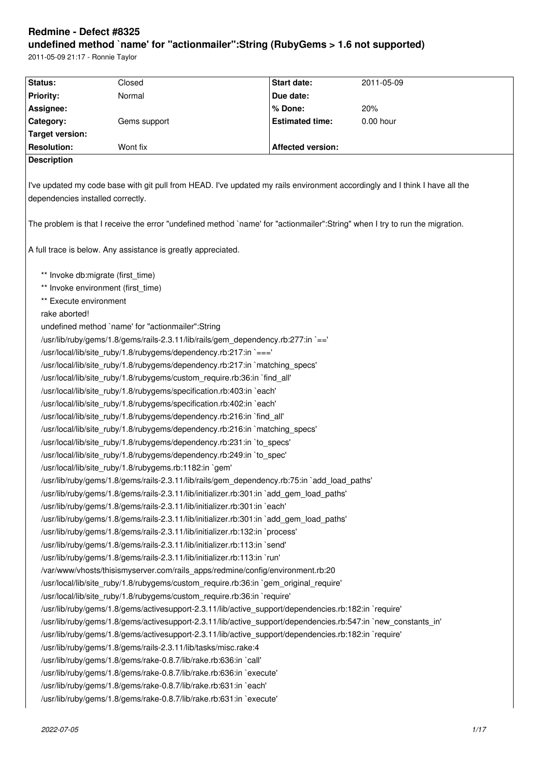# **Redmine - Defect #8325 undefined method `name' for "actionmailer":String (RubyGems > 1.6 not supported)**

2011-05-09 21:17 - Ronnie Taylor

| Status:                                                                                                                       | Closed                                                               | Start date:              | 2011-05-09  |  |  |  |
|-------------------------------------------------------------------------------------------------------------------------------|----------------------------------------------------------------------|--------------------------|-------------|--|--|--|
| <b>Priority:</b>                                                                                                              | Normal                                                               | Due date:                |             |  |  |  |
| Assignee:                                                                                                                     |                                                                      | % Done:                  | 20%         |  |  |  |
| Category:                                                                                                                     | Gems support                                                         | <b>Estimated time:</b>   | $0.00$ hour |  |  |  |
| <b>Target version:</b>                                                                                                        |                                                                      |                          |             |  |  |  |
| <b>Resolution:</b>                                                                                                            | Wont fix                                                             | <b>Affected version:</b> |             |  |  |  |
| <b>Description</b>                                                                                                            |                                                                      |                          |             |  |  |  |
|                                                                                                                               |                                                                      |                          |             |  |  |  |
| I've updated my code base with git pull from HEAD. I've updated my rails environment accordingly and I think I have all the   |                                                                      |                          |             |  |  |  |
| dependencies installed correctly.                                                                                             |                                                                      |                          |             |  |  |  |
|                                                                                                                               |                                                                      |                          |             |  |  |  |
| The problem is that I receive the error "undefined method `name' for "actionmailer": String" when I try to run the migration. |                                                                      |                          |             |  |  |  |
| A full trace is below. Any assistance is greatly appreciated.                                                                 |                                                                      |                          |             |  |  |  |
|                                                                                                                               |                                                                      |                          |             |  |  |  |
| ** Invoke db:migrate (first_time)                                                                                             |                                                                      |                          |             |  |  |  |
| ** Invoke environment (first_time)                                                                                            |                                                                      |                          |             |  |  |  |
| ** Execute environment                                                                                                        |                                                                      |                          |             |  |  |  |
| rake aborted!                                                                                                                 |                                                                      |                          |             |  |  |  |
|                                                                                                                               | undefined method `name' for "actionmailer":String                    |                          |             |  |  |  |
| /usr/lib/ruby/gems/1.8/gems/rails-2.3.11/lib/rails/gem_dependency.rb:277:in `=='                                              |                                                                      |                          |             |  |  |  |
|                                                                                                                               | /usr/local/lib/site_ruby/1.8/rubygems/dependency.rb:217:in `==='     |                          |             |  |  |  |
| /usr/local/lib/site_ruby/1.8/rubygems/dependency.rb:217:in `matching specs'                                                   |                                                                      |                          |             |  |  |  |
| /usr/local/lib/site_ruby/1.8/rubygems/custom_require.rb:36:in `find_all'                                                      |                                                                      |                          |             |  |  |  |
| /usr/local/lib/site_ruby/1.8/rubygems/specification.rb:403:in `each'                                                          |                                                                      |                          |             |  |  |  |
|                                                                                                                               | /usr/local/lib/site_ruby/1.8/rubygems/specification.rb:402:in `each' |                          |             |  |  |  |
| /usr/local/lib/site_ruby/1.8/rubygems/dependency.rb:216:in `find_all'                                                         |                                                                      |                          |             |  |  |  |
| /usr/local/lib/site ruby/1.8/rubygems/dependency.rb:216:in `matching specs'                                                   |                                                                      |                          |             |  |  |  |
| /usr/local/lib/site ruby/1.8/rubygems/dependency.rb:231:in `to specs'                                                         |                                                                      |                          |             |  |  |  |
| /usr/local/lib/site_ruby/1.8/rubygems/dependency.rb:249:in `to_spec'                                                          |                                                                      |                          |             |  |  |  |
| /usr/local/lib/site_ruby/1.8/rubygems.rb:1182:in `gem'                                                                        |                                                                      |                          |             |  |  |  |
| /usr/lib/ruby/gems/1.8/gems/rails-2.3.11/lib/rails/gem dependency.rb:75:in `add load paths'                                   |                                                                      |                          |             |  |  |  |
| /usr/lib/ruby/gems/1.8/gems/rails-2.3.11/lib/initializer.rb:301:in `add_gem_load_paths'                                       |                                                                      |                          |             |  |  |  |
| /usr/lib/ruby/gems/1.8/gems/rails-2.3.11/lib/initializer.rb:301:in `each'                                                     |                                                                      |                          |             |  |  |  |
| /usr/lib/ruby/gems/1.8/gems/rails-2.3.11/lib/initializer.rb:301:in `add gem load paths'                                       |                                                                      |                          |             |  |  |  |
| /usr/lib/ruby/gems/1.8/gems/rails-2.3.11/lib/initializer.rb:132:in `process'                                                  |                                                                      |                          |             |  |  |  |
| /usr/lib/ruby/gems/1.8/gems/rails-2.3.11/lib/initializer.rb:113:in `send'                                                     |                                                                      |                          |             |  |  |  |
| /usr/lib/ruby/gems/1.8/gems/rails-2.3.11/lib/initializer.rb:113:in `run'                                                      |                                                                      |                          |             |  |  |  |
| /var/www/vhosts/thisismyserver.com/rails_apps/redmine/config/environment.rb:20                                                |                                                                      |                          |             |  |  |  |
| /usr/local/lib/site_ruby/1.8/rubygems/custom_require.rb:36:in `gem_original_require'                                          |                                                                      |                          |             |  |  |  |
| /usr/local/lib/site_ruby/1.8/rubygems/custom_require.rb:36:in `require'                                                       |                                                                      |                          |             |  |  |  |
| /usr/lib/ruby/gems/1.8/gems/activesupport-2.3.11/lib/active_support/dependencies.rb:182:in `require'                          |                                                                      |                          |             |  |  |  |
| /usr/lib/ruby/gems/1.8/gems/activesupport-2.3.11/lib/active_support/dependencies.rb:547:in `new_constants_in'                 |                                                                      |                          |             |  |  |  |
| /usr/lib/ruby/gems/1.8/gems/activesupport-2.3.11/lib/active_support/dependencies.rb:182:in `require'                          |                                                                      |                          |             |  |  |  |
| /usr/lib/ruby/gems/1.8/gems/rails-2.3.11/lib/tasks/misc.rake:4                                                                |                                                                      |                          |             |  |  |  |
| /usr/lib/ruby/gems/1.8/gems/rake-0.8.7/lib/rake.rb:636:in `call'                                                              |                                                                      |                          |             |  |  |  |
| /usr/lib/ruby/gems/1.8/gems/rake-0.8.7/lib/rake.rb:636:in `execute'                                                           |                                                                      |                          |             |  |  |  |
| /usr/lib/ruby/gems/1.8/gems/rake-0.8.7/lib/rake.rb:631:in `each'                                                              |                                                                      |                          |             |  |  |  |
| /usr/lib/ruby/gems/1.8/gems/rake-0.8.7/lib/rake.rb:631:in `execute'                                                           |                                                                      |                          |             |  |  |  |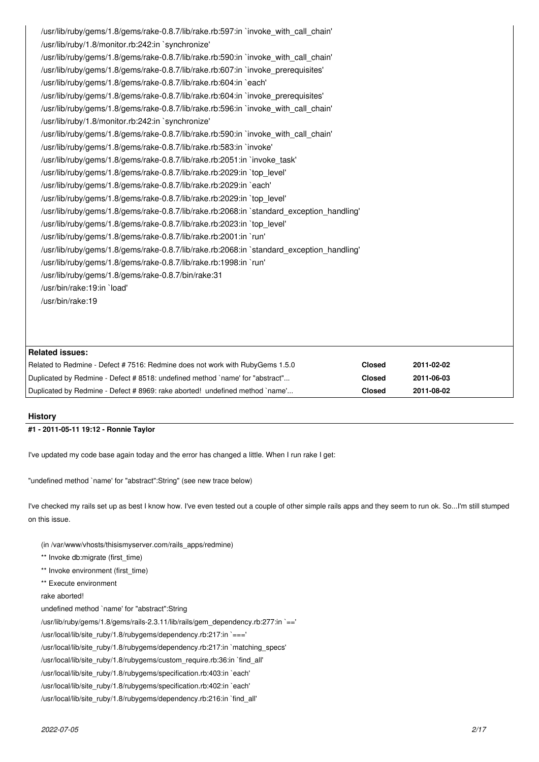| /usr/lib/ruby/gems/1.8/gems/rake-0.8.7/lib/rake.rb:597:in `invoke with call chain'       |
|------------------------------------------------------------------------------------------|
| /usr/lib/ruby/1.8/monitor.rb:242:in `synchronize'                                        |
| /usr/lib/ruby/gems/1.8/gems/rake-0.8.7/lib/rake.rb:590:in `invoke with call chain'       |
| /usr/lib/ruby/gems/1.8/gems/rake-0.8.7/lib/rake.rb:607:in `invoke prerequisites'         |
| /usr/lib/ruby/gems/1.8/gems/rake-0.8.7/lib/rake.rb:604:in `each'                         |
| /usr/lib/ruby/gems/1.8/gems/rake-0.8.7/lib/rake.rb:604:in `invoke prerequisites'         |
| /usr/lib/ruby/gems/1.8/gems/rake-0.8.7/lib/rake.rb:596:in `invoke with call chain'       |
| /usr/lib/ruby/1.8/monitor.rb:242:in `synchronize'                                        |
| /usr/lib/ruby/gems/1.8/gems/rake-0.8.7/lib/rake.rb:590:in `invoke with call chain'       |
| /usr/lib/ruby/gems/1.8/gems/rake-0.8.7/lib/rake.rb:583:in `invoke'                       |
| /usr/lib/ruby/gems/1.8/gems/rake-0.8.7/lib/rake.rb:2051:in `invoke task'                 |
| /usr/lib/ruby/gems/1.8/gems/rake-0.8.7/lib/rake.rb:2029:in `top level'                   |
| /usr/lib/ruby/gems/1.8/gems/rake-0.8.7/lib/rake.rb:2029:in `each'                        |
| /usr/lib/ruby/gems/1.8/gems/rake-0.8.7/lib/rake.rb:2029:in `top level'                   |
| /usr/lib/ruby/gems/1.8/gems/rake-0.8.7/lib/rake.rb:2068:in `standard exception handling' |
| /usr/lib/ruby/gems/1.8/gems/rake-0.8.7/lib/rake.rb:2023:in `top level'                   |
| /usr/lib/ruby/gems/1.8/gems/rake-0.8.7/lib/rake.rb:2001:in `run'                         |
| /usr/lib/ruby/gems/1.8/gems/rake-0.8.7/lib/rake.rb:2068:in `standard exception handling' |
| /usr/lib/ruby/gems/1.8/gems/rake-0.8.7/lib/rake.rb:1998:in `run'                         |
| /usr/lib/ruby/gems/1.8/gems/rake-0.8.7/bin/rake:31                                       |
| /usr/bin/rake:19:in `load'                                                               |
| /usr/bin/rake:19                                                                         |
|                                                                                          |
|                                                                                          |

| Related issues:                                                               |               |            |
|-------------------------------------------------------------------------------|---------------|------------|
| Related to Redmine - Defect #7516: Redmine does not work with RubyGems 1.5.0  | <b>Closed</b> | 2011-02-02 |
| Duplicated by Redmine - Defect # 8518: undefined method `name' for "abstract" | <b>Closed</b> | 2011-06-03 |
| Duplicated by Redmine - Defect #8969: rake aborted! undefined method `name'   | Closed        | 2011-08-02 |

# **History**

# **#1 - 2011-05-11 19:12 - Ronnie Taylor**

I've updated my code base again today and the error has changed a little. When I run rake I get:

"undefined method `name' for "abstract":String" (see new trace below)

I've checked my rails set up as best I know how. I've even tested out a couple of other simple rails apps and they seem to run ok. So...I'm still stumped on this issue.

- (in /var/www/vhosts/thisismyserver.com/rails\_apps/redmine)
- \*\* Invoke db:migrate (first\_time)
- \*\* Invoke environment (first\_time)
- \*\* Execute environment
- rake aborted!
- undefined method `name' for "abstract":String

/usr/lib/ruby/gems/1.8/gems/rails-2.3.11/lib/rails/gem\_dependency.rb:277:in `=='

/usr/local/lib/site\_ruby/1.8/rubygems/dependency.rb:217:in `==='

- /usr/local/lib/site\_ruby/1.8/rubygems/dependency.rb:217:in `matching\_specs'
- /usr/local/lib/site\_ruby/1.8/rubygems/custom\_require.rb:36:in `find\_all'
- /usr/local/lib/site\_ruby/1.8/rubygems/specification.rb:403:in `each'
- /usr/local/lib/site\_ruby/1.8/rubygems/specification.rb:402:in `each'
- /usr/local/lib/site\_ruby/1.8/rubygems/dependency.rb:216:in `find\_all'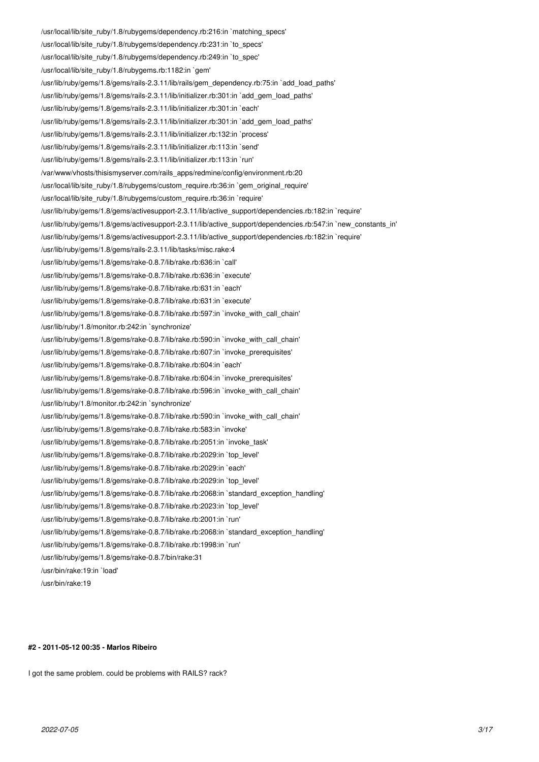/usr/local/lib/site\_ruby/1.8/rubygems/dependency.rb:216:in `matching\_specs' /usr/local/lib/site\_ruby/1.8/rubygems/dependency.rb:231:in `to\_specs' /usr/local/lib/site\_ruby/1.8/rubygems/dependency.rb:249:in `to\_spec' /usr/local/lib/site\_ruby/1.8/rubygems.rb:1182:in `gem' /usr/lib/ruby/gems/1.8/gems/rails-2.3.11/lib/rails/gem\_dependency.rb:75:in `add\_load\_paths' /usr/lib/ruby/gems/1.8/gems/rails-2.3.11/lib/initializer.rb:301:in `add\_gem\_load\_paths' /usr/lib/ruby/gems/1.8/gems/rails-2.3.11/lib/initializer.rb:301:in `each' /usr/lib/ruby/gems/1.8/gems/rails-2.3.11/lib/initializer.rb:301:in `add\_gem\_load\_paths' /usr/lib/ruby/gems/1.8/gems/rails-2.3.11/lib/initializer.rb:132:in `process' /usr/lib/ruby/gems/1.8/gems/rails-2.3.11/lib/initializer.rb:113:in `send' /usr/lib/ruby/gems/1.8/gems/rails-2.3.11/lib/initializer.rb:113:in `run' /var/www/vhosts/thisismyserver.com/rails\_apps/redmine/config/environment.rb:20 /usr/local/lib/site\_ruby/1.8/rubygems/custom\_require.rb:36:in `gem\_original\_require' /usr/local/lib/site\_ruby/1.8/rubygems/custom\_require.rb:36:in `require' /usr/lib/ruby/gems/1.8/gems/activesupport-2.3.11/lib/active\_support/dependencies.rb:182:in `require' /usr/lib/ruby/gems/1.8/gems/activesupport-2.3.11/lib/active\_support/dependencies.rb:547:in `new\_constants\_in' /usr/lib/ruby/gems/1.8/gems/activesupport-2.3.11/lib/active\_support/dependencies.rb:182:in `require' /usr/lib/ruby/gems/1.8/gems/rails-2.3.11/lib/tasks/misc.rake:4 /usr/lib/ruby/gems/1.8/gems/rake-0.8.7/lib/rake.rb:636:in `call' /usr/lib/ruby/gems/1.8/gems/rake-0.8.7/lib/rake.rb:636:in `execute' /usr/lib/ruby/gems/1.8/gems/rake-0.8.7/lib/rake.rb:631:in `each' /usr/lib/ruby/gems/1.8/gems/rake-0.8.7/lib/rake.rb:631:in `execute' /usr/lib/ruby/gems/1.8/gems/rake-0.8.7/lib/rake.rb:597:in `invoke\_with\_call\_chain' /usr/lib/ruby/1.8/monitor.rb:242:in `synchronize' /usr/lib/ruby/gems/1.8/gems/rake-0.8.7/lib/rake.rb:590:in `invoke\_with\_call\_chain' /usr/lib/ruby/gems/1.8/gems/rake-0.8.7/lib/rake.rb:607:in `invoke\_prerequisites' /usr/lib/ruby/gems/1.8/gems/rake-0.8.7/lib/rake.rb:604:in `each' /usr/lib/ruby/gems/1.8/gems/rake-0.8.7/lib/rake.rb:604:in `invoke\_prerequisites' /usr/lib/ruby/gems/1.8/gems/rake-0.8.7/lib/rake.rb:596:in `invoke\_with\_call\_chain' /usr/lib/ruby/1.8/monitor.rb:242:in `synchronize' /usr/lib/ruby/gems/1.8/gems/rake-0.8.7/lib/rake.rb:590:in `invoke\_with\_call\_chain' /usr/lib/ruby/gems/1.8/gems/rake-0.8.7/lib/rake.rb:583:in `invoke' /usr/lib/ruby/gems/1.8/gems/rake-0.8.7/lib/rake.rb:2051:in `invoke\_task' /usr/lib/ruby/gems/1.8/gems/rake-0.8.7/lib/rake.rb:2029:in `top\_level' /usr/lib/ruby/gems/1.8/gems/rake-0.8.7/lib/rake.rb:2029:in `each' /usr/lib/ruby/gems/1.8/gems/rake-0.8.7/lib/rake.rb:2029:in `top\_level' /usr/lib/ruby/gems/1.8/gems/rake-0.8.7/lib/rake.rb:2068:in `standard\_exception\_handling' /usr/lib/ruby/gems/1.8/gems/rake-0.8.7/lib/rake.rb:2023:in `top\_level' /usr/lib/ruby/gems/1.8/gems/rake-0.8.7/lib/rake.rb:2001:in `run' /usr/lib/ruby/gems/1.8/gems/rake-0.8.7/lib/rake.rb:2068:in `standard\_exception\_handling' /usr/lib/ruby/gems/1.8/gems/rake-0.8.7/lib/rake.rb:1998:in `run' /usr/lib/ruby/gems/1.8/gems/rake-0.8.7/bin/rake:31 /usr/bin/rake:19:in `load' /usr/bin/rake:19

#### **#2 - 2011-05-12 00:35 - Marlos Ribeiro**

I got the same problem. could be problems with RAILS? rack?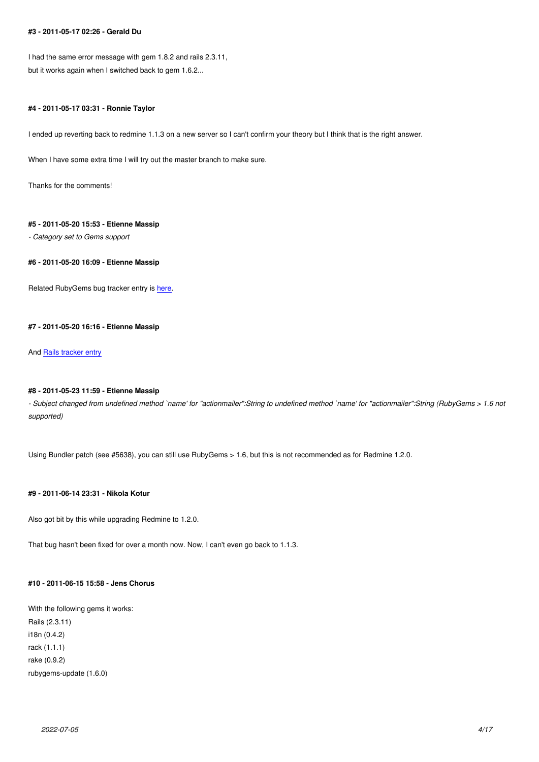I had the same error message with gem 1.8.2 and rails 2.3.11, but it works again when I switched back to gem 1.6.2...

# **#4 - 2011-05-17 03:31 - Ronnie Taylor**

I ended up reverting back to redmine 1.1.3 on a new server so I can't confirm your theory but I think that is the right answer.

When I have some extra time I will try out the master branch to make sure.

Thanks for the comments!

#### **#5 - 2011-05-20 15:53 - Etienne Massip**

*- Category set to Gems support*

**#6 - 2011-05-20 16:09 - Etienne Massip**

Related RubyGems bug tracker entry is here.

#### **#7 - 2011-05-20 16:16 - Etienne Massi[p](http://rubyforge.org/tracker/index.php?func=detail&aid=29188&group_id=126&atid=575)**

And Rails tracker entry

#### **#8 - 2011-05-23 11:59 - Etienne Massip**

*- Su[bject changed from](https://rails.lighthouseapp.com/projects/8994/tickets/6778-rails-2311-fails-with-newer-rubygems-181) undefined method `name' for "actionmailer":String to undefined method `name' for "actionmailer":String (RubyGems > 1.6 not supported)*

Using Bundler patch (see #5638), you can still use RubyGems > 1.6, but this is not recommended as for Redmine 1.2.0.

# **#9 - 2011-06-14 23:31 - Nikola Kotur**

Also got bit by this while upgrading Redmine to 1.2.0.

That bug hasn't been fixed for over a month now. Now, I can't even go back to 1.1.3.

# **#10 - 2011-06-15 15:58 - Jens Chorus**

With the following gems it works: Rails (2.3.11) i18n (0.4.2) rack (1.1.1) rake (0.9.2) rubygems-update (1.6.0)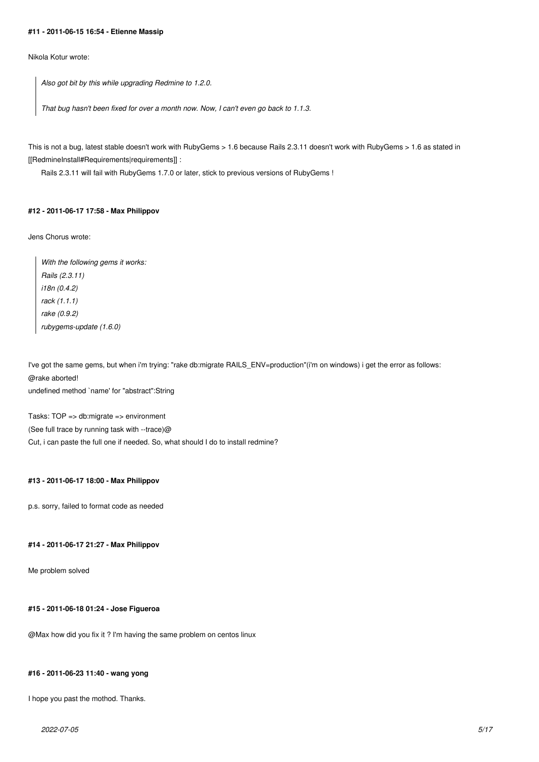#### **#11 - 2011-06-15 16:54 - Etienne Massip**

Nikola Kotur wrote:

*Also got bit by this while upgrading Redmine to 1.2.0.*

*That bug hasn't been fixed for over a month now. Now, I can't even go back to 1.1.3.*

This is not a bug, latest stable doesn't work with RubyGems > 1.6 because Rails 2.3.11 doesn't work with RubyGems > 1.6 as stated in [[RedmineInstall#Requirements|requirements]] :

Rails 2.3.11 will fail with RubyGems 1.7.0 or later, stick to previous versions of RubyGems !

### **#12 - 2011-06-17 17:58 - Max Philippov**

Jens Chorus wrote:

*With the following gems it works: Rails (2.3.11) i18n (0.4.2) rack (1.1.1) rake (0.9.2) rubygems-update (1.6.0)*

I've got the same gems, but when i'm trying: "rake db:migrate RAILS\_ENV=production"(i'm on windows) i get the error as follows: @rake aborted! undefined method `name' for "abstract":String

Tasks: TOP => db:migrate => environment (See full trace by running task with --trace)@ Cut, i can paste the full one if needed. So, what should I do to install redmine?

# **#13 - 2011-06-17 18:00 - Max Philippov**

p.s. sorry, failed to format code as needed

# **#14 - 2011-06-17 21:27 - Max Philippov**

Me problem solved

# **#15 - 2011-06-18 01:24 - Jose Figueroa**

@Max how did you fix it ? I'm having the same problem on centos linux

# **#16 - 2011-06-23 11:40 - wang yong**

I hope you past the mothod. Thanks.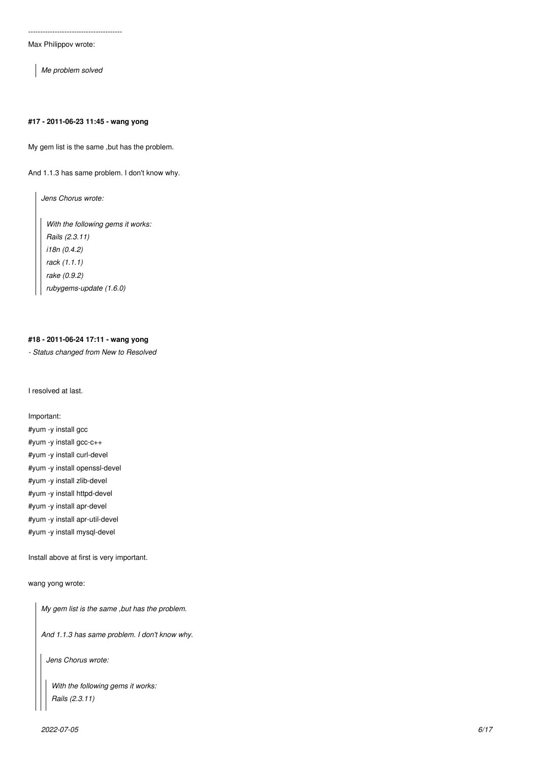Max Philippov wrote:

*Me problem solved*

# **#17 - 2011-06-23 11:45 - wang yong**

My gem list is the same ,but has the problem.

And 1.1.3 has same problem. I don't know why.

*Jens Chorus wrote:*

*With the following gems it works: Rails (2.3.11) i18n (0.4.2) rack (1.1.1) rake (0.9.2) rubygems-update (1.6.0)*

# **#18 - 2011-06-24 17:11 - wang yong**

*- Status changed from New to Resolved*

I resolved at last.

Important:

#yum -y install gcc #yum -y install gcc-c++ #yum -y install curl-devel #yum -y install openssl-devel #yum -y install zlib-devel #yum -y install httpd-devel #yum -y install apr-devel #yum -y install apr-util-devel #yum -y install mysql-devel

Install above at first is very important.

wang yong wrote:

*My gem list is the same ,but has the problem.*

*And 1.1.3 has same problem. I don't know why.*

*Jens Chorus wrote:*

*With the following gems it works: Rails (2.3.11)*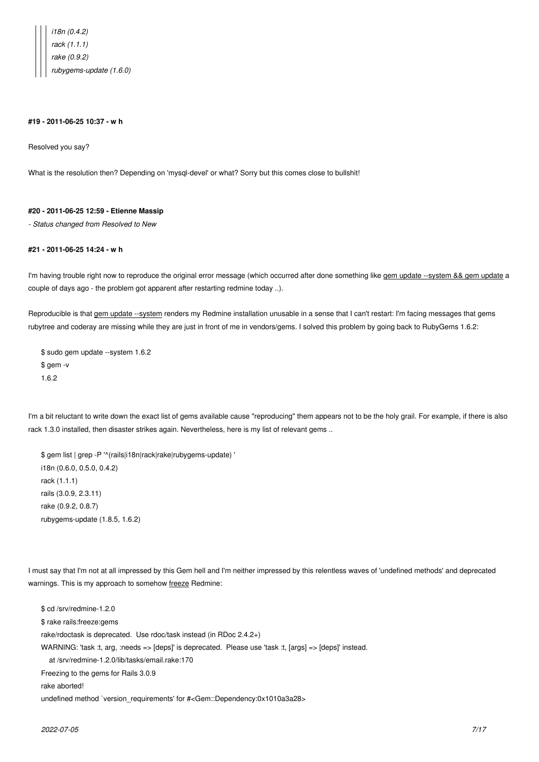*i18n (0.4.2) rack (1.1.1) rake (0.9.2) rubygems-update (1.6.0)*

#### **#19 - 2011-06-25 10:37 - w h**

Resolved you say?

What is the resolution then? Depending on 'mysql-devel' or what? Sorry but this comes close to bullshit!

#### **#20 - 2011-06-25 12:59 - Etienne Massip**

*- Status changed from Resolved to New*

### **#21 - 2011-06-25 14:24 - w h**

I'm having trouble right now to reproduce the original error message (which occurred after done something like gem update --system && gem update a couple of days ago - the problem got apparent after restarting redmine today ..).

Reproducible is that gem update --system renders my Redmine installation unusable in a sense that I can't restart: I'm facing messages that gems rubytree and coderay are missing while they are just in front of me in vendors/gems. I solved this problem by going back to RubyGems 1.6.2:

\$ sudo gem update --system 1.6.2 \$ gem -v 1.6.2

I'm a bit reluctant to write down the exact list of gems available cause "reproducing" them appears not to be the holy grail. For example, if there is also rack 1.3.0 installed, then disaster strikes again. Nevertheless, here is my list of relevant gems ..

\$ gem list | grep -P '^(rails|i18n|rack|rake|rubygems-update) ' i18n (0.6.0, 0.5.0, 0.4.2) rack (1.1.1) rails (3.0.9, 2.3.11) rake (0.9.2, 0.8.7) rubygems-update (1.8.5, 1.6.2)

I must say that I'm not at all impressed by this Gem hell and I'm neither impressed by this relentless waves of 'undefined methods' and deprecated warnings. This is my approach to somehow freeze Redmine:

\$ cd /srv/redmine-1.2.0 \$ rake rails:freeze:gems rake/rdoctask is deprecated. Use rdoc/task instead (in RDoc 2.4.2+) WARNING: 'task :t, arg, :needs => [deps]' is deprecated. Please use 'task :t, [args] => [deps]' instead. at /srv/redmine-1.2.0/lib/tasks/email.rake:170 Freezing to the gems for Rails 3.0.9 rake aborted! undefined method `version\_requirements' for #<Gem::Dependency:0x1010a3a28>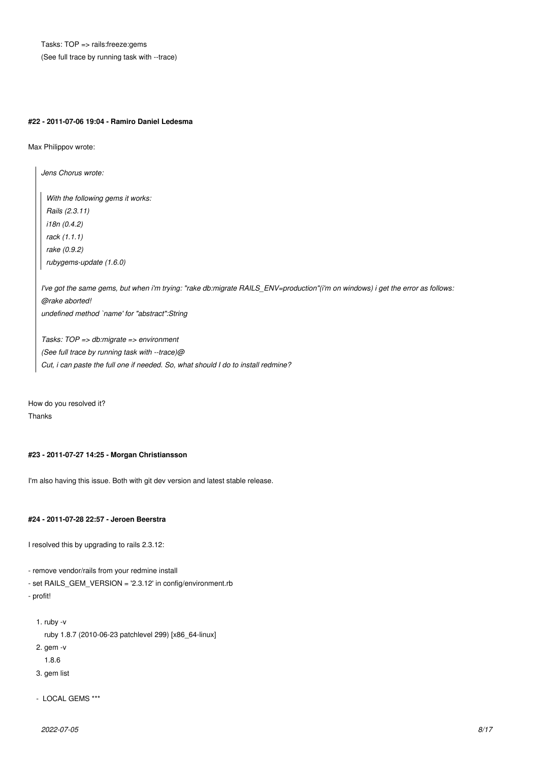Tasks: TOP => rails:freeze:gems (See full trace by running task with --trace)

#### **#22 - 2011-07-06 19:04 - Ramiro Daniel Ledesma**

Max Philippov wrote:

*Jens Chorus wrote:*

*With the following gems it works: Rails (2.3.11) i18n (0.4.2) rack (1.1.1) rake (0.9.2) rubygems-update (1.6.0)*

*I've got the same gems, but when i'm trying: "rake db:migrate RAILS\_ENV=production"(i'm on windows) i get the error as follows: @rake aborted! undefined method `name' for "abstract":String*

*Tasks: TOP => db:migrate => environment (See full trace by running task with --trace)@ Cut, i can paste the full one if needed. So, what should I do to install redmine?*

How do you resolved it? Thanks

# **#23 - 2011-07-27 14:25 - Morgan Christiansson**

I'm also having this issue. Both with git dev version and latest stable release.

# **#24 - 2011-07-28 22:57 - Jeroen Beerstra**

I resolved this by upgrading to rails 2.3.12:

- remove vendor/rails from your redmine install
- set RAILS\_GEM\_VERSION = '2.3.12' in config/environment.rb
- profit!

```
 1. ruby -v
```
- ruby 1.8.7 (2010-06-23 patchlevel 299) [x86\_64-linux]
- 2. gem -v
	- 1.8.6
- 3. gem list
- LOCAL GEMS \*\*\*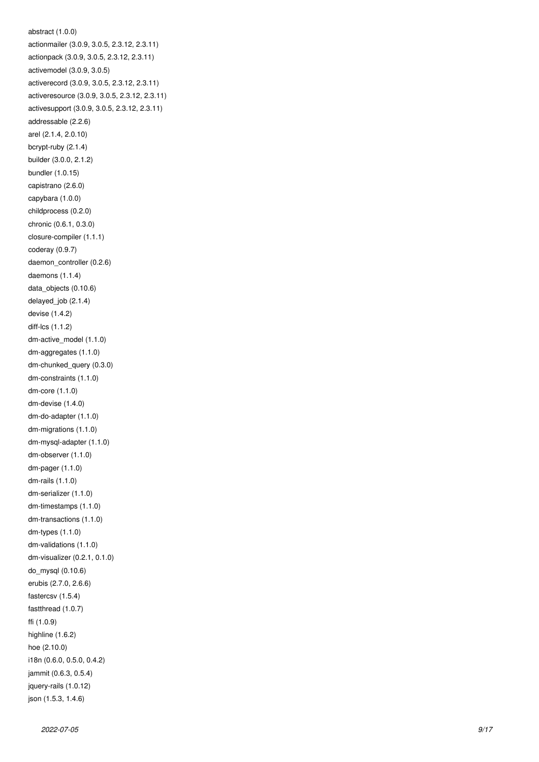```
abstract (1.0.0)
actionmailer (3.0.9, 3.0.5, 2.3.12, 2.3.11)
actionpack (3.0.9, 3.0.5, 2.3.12, 2.3.11)
activemodel (3.0.9, 3.0.5)
activerecord (3.0.9, 3.0.5, 2.3.12, 2.3.11)
activeresource (3.0.9, 3.0.5, 2.3.12, 2.3.11)
activesupport (3.0.9, 3.0.5, 2.3.12, 2.3.11)
addressable (2.2.6)
arel (2.1.4, 2.0.10)
bcrypt-ruby (2.1.4)
builder (3.0.0, 2.1.2)
bundler (1.0.15)
capistrano (2.6.0)
capybara (1.0.0)
childprocess (0.2.0)
chronic (0.6.1, 0.3.0)
closure-compiler (1.1.1)
coderay (0.9.7)
daemon_controller (0.2.6)
daemons (1.1.4)
data_objects (0.10.6)
delayed_job (2.1.4)
devise (1.4.2)
diff-lcs (1.1.2)
dm-active_model (1.1.0)
dm-aggregates (1.1.0)
dm-chunked_query (0.3.0)
dm-constraints (1.1.0)
dm-core (1.1.0)
dm-devise (1.4.0)
dm-do-adapter (1.1.0)
dm-migrations (1.1.0)
dm-mysql-adapter (1.1.0)
dm-observer (1.1.0)
dm-pager (1.1.0)
dm-rails (1.1.0)
dm-serializer (1.1.0)
dm-timestamps (1.1.0)
dm-transactions (1.1.0)
dm-types (1.1.0)
dm-validations (1.1.0)
dm-visualizer (0.2.1, 0.1.0)
do_mysql (0.10.6)
erubis (2.7.0, 2.6.6)
fastercsv (1.5.4)
fastthread (1.0.7)
ffi (1.0.9)
highline (1.6.2)
hoe (2.10.0)
i18n (0.6.0, 0.5.0, 0.4.2)
jammit (0.6.3, 0.5.4)
jquery-rails (1.0.12)
json (1.5.3, 1.4.6)
```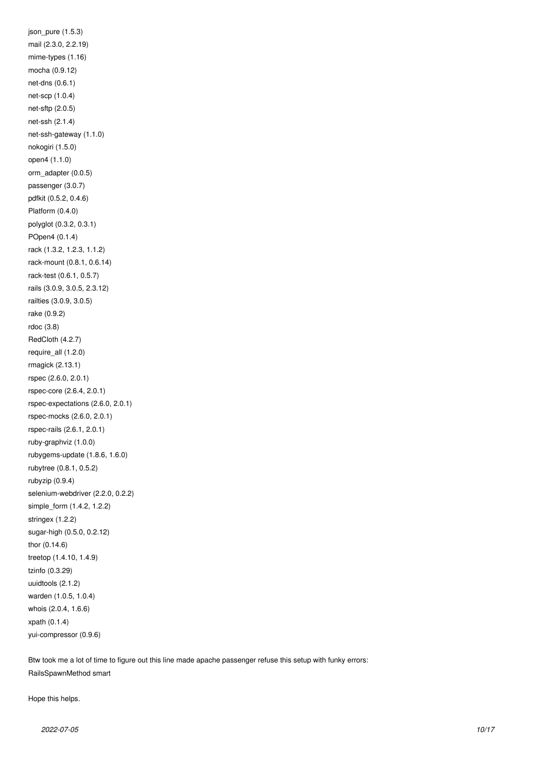json\_pure (1.5.3) mail (2.3.0, 2.2.19) mime-types (1.16) mocha (0.9.12) net-dns (0.6.1) net-scp (1.0.4) net-sftp (2.0.5) net-ssh (2.1.4) net-ssh-gateway (1.1.0) nokogiri (1.5.0) open4 (1.1.0) orm\_adapter (0.0.5) passenger (3.0.7) pdfkit (0.5.2, 0.4.6) Platform (0.4.0) polyglot (0.3.2, 0.3.1) POpen4 (0.1.4) rack (1.3.2, 1.2.3, 1.1.2) rack-mount (0.8.1, 0.6.14) rack-test (0.6.1, 0.5.7) rails (3.0.9, 3.0.5, 2.3.12) railties (3.0.9, 3.0.5) rake (0.9.2) rdoc (3.8) RedCloth (4.2.7) require\_all (1.2.0) rmagick (2.13.1) rspec (2.6.0, 2.0.1) rspec-core (2.6.4, 2.0.1) rspec-expectations (2.6.0, 2.0.1) rspec-mocks (2.6.0, 2.0.1) rspec-rails (2.6.1, 2.0.1) ruby-graphviz (1.0.0) rubygems-update (1.8.6, 1.6.0) rubytree (0.8.1, 0.5.2) rubyzip (0.9.4) selenium-webdriver (2.2.0, 0.2.2) simple\_form (1.4.2, 1.2.2) stringex (1.2.2) sugar-high (0.5.0, 0.2.12) thor (0.14.6) treetop (1.4.10, 1.4.9) tzinfo (0.3.29) uuidtools (2.1.2) warden (1.0.5, 1.0.4) whois (2.0.4, 1.6.6) xpath (0.1.4) yui-compressor (0.9.6)

Btw took me a lot of time to figure out this line made apache passenger refuse this setup with funky errors: RailsSpawnMethod smart

Hope this helps.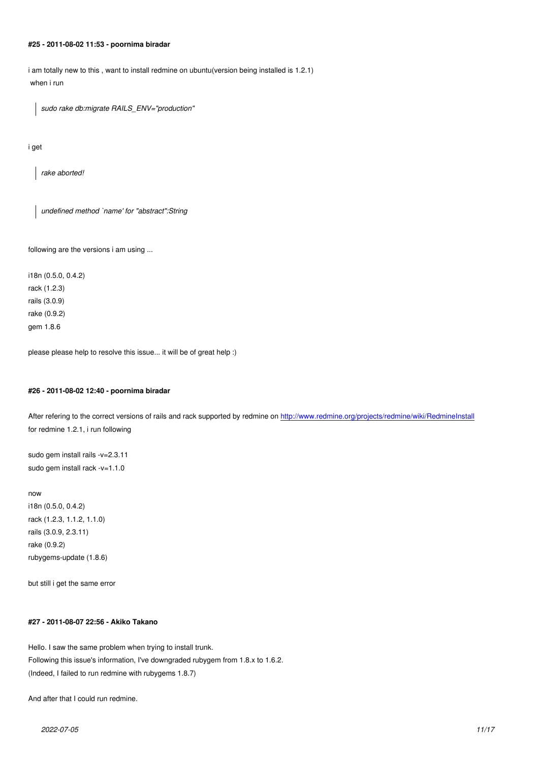**#25 - 2011-08-02 11:53 - poornima biradar**

i am totally new to this , want to install redmine on ubuntu(version being installed is 1.2.1) when i run

*sudo rake db:migrate RAILS\_ENV="production"*

i get

*rake aborted!*

*undefined method `name' for "abstract":String*

following are the versions i am using ...

i18n (0.5.0, 0.4.2) rack (1.2.3) rails (3.0.9) rake (0.9.2) gem 1.8.6

please please help to resolve this issue... it will be of great help :)

#### **#26 - 2011-08-02 12:40 - poornima biradar**

After refering to the correct versions of rails and rack supported by redmine on http://www.redmine.org/projects/redmine/wiki/RedmineInstall for redmine 1.2.1, i run following

sudo gem install rails -v=2.3.11 sudo gem install rack -v=1.1.0

#### now

i18n (0.5.0, 0.4.2) rack (1.2.3, 1.1.2, 1.1.0) rails (3.0.9, 2.3.11) rake (0.9.2) rubygems-update (1.8.6)

but still i get the same error

# **#27 - 2011-08-07 22:56 - Akiko Takano**

Hello. I saw the same problem when trying to install trunk. Following this issue's information, I've downgraded rubygem from 1.8.x to 1.6.2. (Indeed, I failed to run redmine with rubygems 1.8.7)

And after that I could run redmine.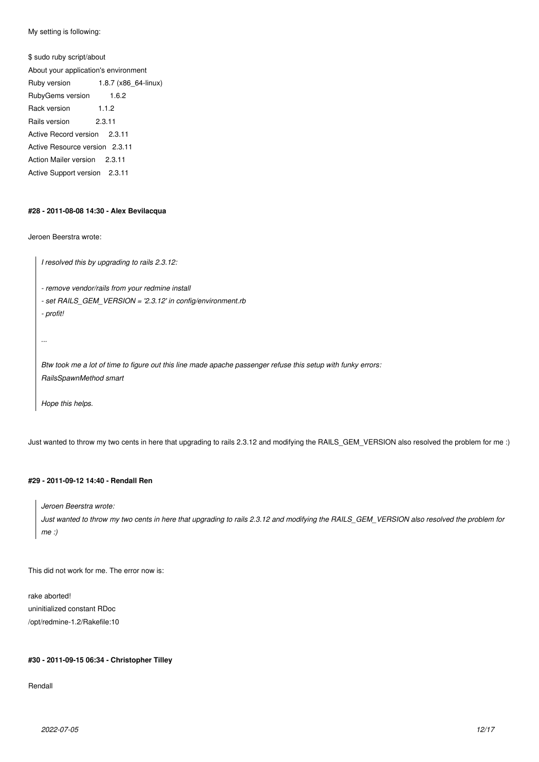My setting is following:

\$ sudo ruby script/about About your application's environment Ruby version 1.8.7 (x86\_64-linux) RubyGems version 1.6.2 Rack version 1.1.2 Rails version 2.3.11 Active Record version 2.3.11 Active Resource version 2.3.11 Action Mailer version 2.3.11 Active Support version 2.3.11

#### **#28 - 2011-08-08 14:30 - Alex Bevilacqua**

Jeroen Beerstra wrote:

*I resolved this by upgrading to rails 2.3.12:*

*- remove vendor/rails from your redmine install*

- *set RAILS\_GEM\_VERSION = '2.3.12' in config/environment.rb*
- *profit!*

*...*

*Btw took me a lot of time to figure out this line made apache passenger refuse this setup with funky errors: RailsSpawnMethod smart*

*Hope this helps.*

Just wanted to throw my two cents in here that upgrading to rails 2.3.12 and modifying the RAILS\_GEM\_VERSION also resolved the problem for me :)

# **#29 - 2011-09-12 14:40 - Rendall Ren**

*Jeroen Beerstra wrote:*

*Just wanted to throw my two cents in here that upgrading to rails 2.3.12 and modifying the RAILS\_GEM\_VERSION also resolved the problem for me :)*

This did not work for me. The error now is:

rake aborted! uninitialized constant RDoc /opt/redmine-1.2/Rakefile:10

# **#30 - 2011-09-15 06:34 - Christopher Tilley**

Rendall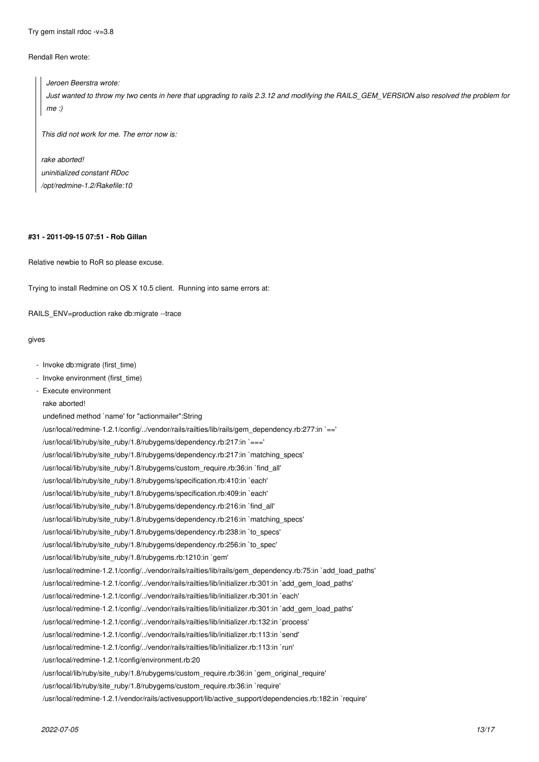Try gem install rdoc -v=3.8

# Rendall Ren wrote:

# *Jeroen Beerstra wrote: Just wanted to throw my two cents in here that upgrading to rails 2.3.12 and modifying the RAILS\_GEM\_VERSION also resolved the problem for me :)*

*This did not work for me. The error now is:*

*rake aborted! uninitialized constant RDoc /opt/redmine-1.2/Rakefile:10*

# **#31 - 2011-09-15 07:51 - Rob Gillan**

Relative newbie to RoR so please excuse.

Trying to install Redmine on OS X 10.5 client. Running into same errors at:

RAILS ENV=production rake db:migrate --trace

#### gives

- Invoke db:migrate (first\_time)
- Invoke environment (first\_time)
- Execute environment
- rake aborted!

undefined method `name' for "actionmailer":String /usr/local/redmine-1.2.1/config/../vendor/rails/railties/lib/rails/gem\_dependency.rb:277:in `==' /usr/local/lib/ruby/site\_ruby/1.8/rubygems/dependency.rb:217:in `===' /usr/local/lib/ruby/site\_ruby/1.8/rubygems/dependency.rb:217:in `matching\_specs' /usr/local/lib/ruby/site\_ruby/1.8/rubygems/custom\_require.rb:36:in `find\_all' /usr/local/lib/ruby/site\_ruby/1.8/rubygems/specification.rb:410:in `each' /usr/local/lib/ruby/site\_ruby/1.8/rubygems/specification.rb:409:in `each' /usr/local/lib/ruby/site\_ruby/1.8/rubygems/dependency.rb:216:in `find\_all' /usr/local/lib/ruby/site\_ruby/1.8/rubygems/dependency.rb:216:in `matching\_specs' /usr/local/lib/ruby/site\_ruby/1.8/rubygems/dependency.rb:238:in `to\_specs' /usr/local/lib/ruby/site\_ruby/1.8/rubygems/dependency.rb:256:in `to\_spec' /usr/local/lib/ruby/site\_ruby/1.8/rubygems.rb:1210:in `gem' /usr/local/redmine-1.2.1/config/../vendor/rails/railties/lib/rails/gem\_dependency.rb:75:in `add\_load\_paths' /usr/local/redmine-1.2.1/config/../vendor/rails/railties/lib/initializer.rb:301:in `add\_gem\_load\_paths' /usr/local/redmine-1.2.1/config/../vendor/rails/railties/lib/initializer.rb:301:in `each' /usr/local/redmine-1.2.1/config/../vendor/rails/railties/lib/initializer.rb:301:in `add\_gem\_load\_paths' /usr/local/redmine-1.2.1/config/../vendor/rails/railties/lib/initializer.rb:132:in `process' /usr/local/redmine-1.2.1/config/../vendor/rails/railties/lib/initializer.rb:113:in `send' /usr/local/redmine-1.2.1/config/../vendor/rails/railties/lib/initializer.rb:113:in `run' /usr/local/redmine-1.2.1/config/environment.rb:20 /usr/local/lib/ruby/site\_ruby/1.8/rubygems/custom\_require.rb:36:in `gem\_original\_require' /usr/local/lib/ruby/site\_ruby/1.8/rubygems/custom\_require.rb:36:in `require' /usr/local/redmine-1.2.1/vendor/rails/activesupport/lib/active\_support/dependencies.rb:182:in `require'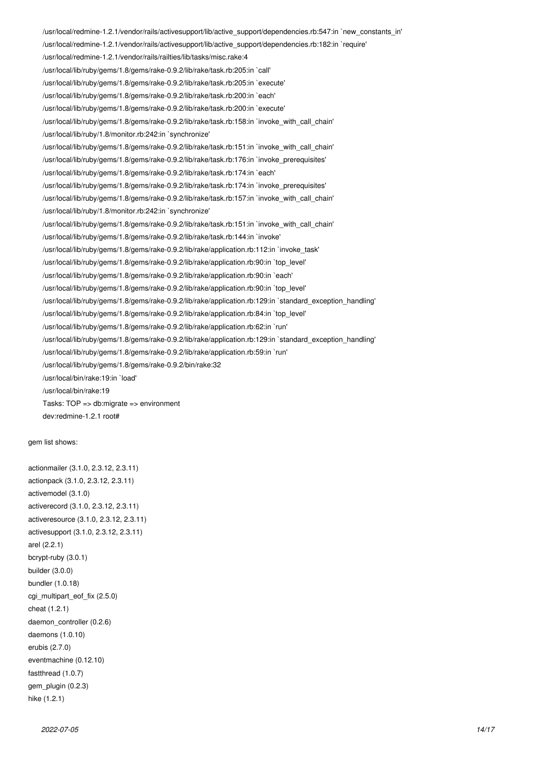/usr/local/redmine-1.2.1/vendor/rails/activesupport/lib/active\_support/dependencies.rb:547:in `new\_constants\_in' /usr/local/redmine-1.2.1/vendor/rails/activesupport/lib/active\_support/dependencies.rb:182:in `require' /usr/local/redmine-1.2.1/vendor/rails/railties/lib/tasks/misc.rake:4 /usr/local/lib/ruby/gems/1.8/gems/rake-0.9.2/lib/rake/task.rb:205:in `call' /usr/local/lib/ruby/gems/1.8/gems/rake-0.9.2/lib/rake/task.rb:205:in `execute' /usr/local/lib/ruby/gems/1.8/gems/rake-0.9.2/lib/rake/task.rb:200:in `each' /usr/local/lib/ruby/gems/1.8/gems/rake-0.9.2/lib/rake/task.rb:200:in `execute' /usr/local/lib/ruby/gems/1.8/gems/rake-0.9.2/lib/rake/task.rb:158:in `invoke\_with\_call\_chain' /usr/local/lib/ruby/1.8/monitor.rb:242:in `synchronize' /usr/local/lib/ruby/gems/1.8/gems/rake-0.9.2/lib/rake/task.rb:151:in `invoke\_with\_call\_chain' /usr/local/lib/ruby/gems/1.8/gems/rake-0.9.2/lib/rake/task.rb:176:in `invoke\_prerequisites' /usr/local/lib/ruby/gems/1.8/gems/rake-0.9.2/lib/rake/task.rb:174:in `each' /usr/local/lib/ruby/gems/1.8/gems/rake-0.9.2/lib/rake/task.rb:174:in `invoke\_prerequisites' /usr/local/lib/ruby/gems/1.8/gems/rake-0.9.2/lib/rake/task.rb:157:in `invoke\_with\_call\_chain' /usr/local/lib/ruby/1.8/monitor.rb:242:in `synchronize' /usr/local/lib/ruby/gems/1.8/gems/rake-0.9.2/lib/rake/task.rb:151:in `invoke\_with\_call\_chain' /usr/local/lib/ruby/gems/1.8/gems/rake-0.9.2/lib/rake/task.rb:144:in `invoke' /usr/local/lib/ruby/gems/1.8/gems/rake-0.9.2/lib/rake/application.rb:112:in `invoke\_task' /usr/local/lib/ruby/gems/1.8/gems/rake-0.9.2/lib/rake/application.rb:90:in `top\_level' /usr/local/lib/ruby/gems/1.8/gems/rake-0.9.2/lib/rake/application.rb:90:in `each' /usr/local/lib/ruby/gems/1.8/gems/rake-0.9.2/lib/rake/application.rb:90:in `top\_level' /usr/local/lib/ruby/gems/1.8/gems/rake-0.9.2/lib/rake/application.rb:129:in `standard\_exception\_handling' /usr/local/lib/ruby/gems/1.8/gems/rake-0.9.2/lib/rake/application.rb:84:in `top\_level' /usr/local/lib/ruby/gems/1.8/gems/rake-0.9.2/lib/rake/application.rb:62:in `run' /usr/local/lib/ruby/gems/1.8/gems/rake-0.9.2/lib/rake/application.rb:129:in `standard\_exception\_handling' /usr/local/lib/ruby/gems/1.8/gems/rake-0.9.2/lib/rake/application.rb:59:in `run' /usr/local/lib/ruby/gems/1.8/gems/rake-0.9.2/bin/rake:32 /usr/local/bin/rake:19:in `load' /usr/local/bin/rake:19 Tasks: TOP => db:migrate => environment dev:redmine-1.2.1 root#

gem list shows:

actionmailer (3.1.0, 2.3.12, 2.3.11) actionpack (3.1.0, 2.3.12, 2.3.11) activemodel (3.1.0) activerecord (3.1.0, 2.3.12, 2.3.11) activeresource (3.1.0, 2.3.12, 2.3.11) activesupport (3.1.0, 2.3.12, 2.3.11) arel (2.2.1) bcrypt-ruby (3.0.1) builder (3.0.0) bundler (1.0.18) cgi\_multipart\_eof\_fix (2.5.0) cheat (1.2.1) daemon\_controller (0.2.6) daemons (1.0.10) erubis (2.7.0) eventmachine (0.12.10) fastthread (1.0.7) gem\_plugin (0.2.3) hike (1.2.1)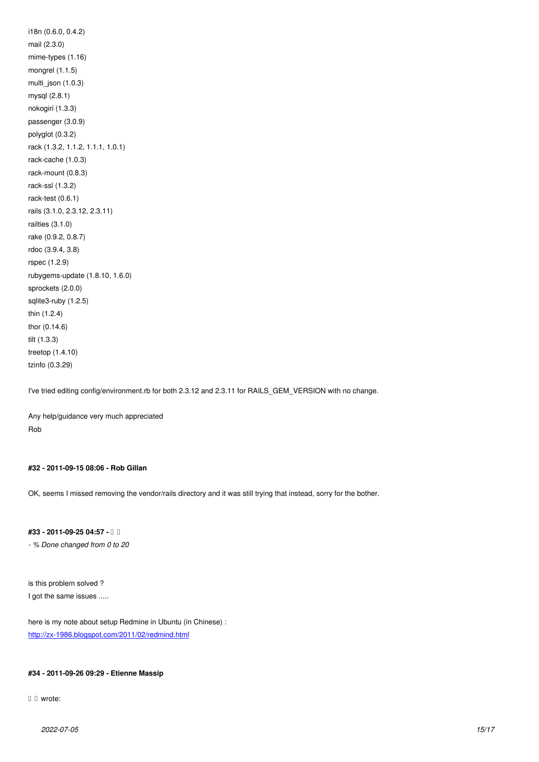$max(z.3.0)$ mime-types (1.16) mongrel (1.1.5) multi\_json (1.0.3) mysql (2.8.1) nokogiri (1.3.3) passenger (3.0.9) polyglot (0.3.2) rack (1.3.2, 1.1.2, 1.1.1, 1.0.1) rack-cache (1.0.3) rack-mount (0.8.3) rack-ssl (1.3.2) rack-test (0.6.1) rails (3.1.0, 2.3.12, 2.3.11) railties (3.1.0) rake (0.9.2, 0.8.7) rdoc (3.9.4, 3.8) rspec (1.2.9) rubygems-update (1.8.10, 1.6.0) sprockets (2.0.0) sqlite3-ruby (1.2.5) thin (1.2.4) thor (0.14.6) tilt (1.3.3) treetop (1.4.10) tzinfo (0.3.29)

I've tried editing config/environment.rb for both 2.3.12 and 2.3.11 for RAILS\_GEM\_VERSION with no change.

Any help/guidance very much appreciated Rob

# **#32 - 2011-09-15 08:06 - Rob Gillan**

OK, seems I missed removing the vendor/rails directory and it was still trying that instead, sorry for the bother.

# **#33 - 2011-09-25 04:57 - 旭 張**

*- % Done changed from 0 to 20*

is this problem solved ? I got the same issues .....

here is my note about setup Redmine in Ubuntu (in Chinese) : http://zx-1986.blogspot.com/2011/02/redmind.html

# **[#34 - 2011-09-26 09:29 - Etienne Massip](http://zx-1986.blogspot.com/2011/02/redmind.html)**

□ □ wrote: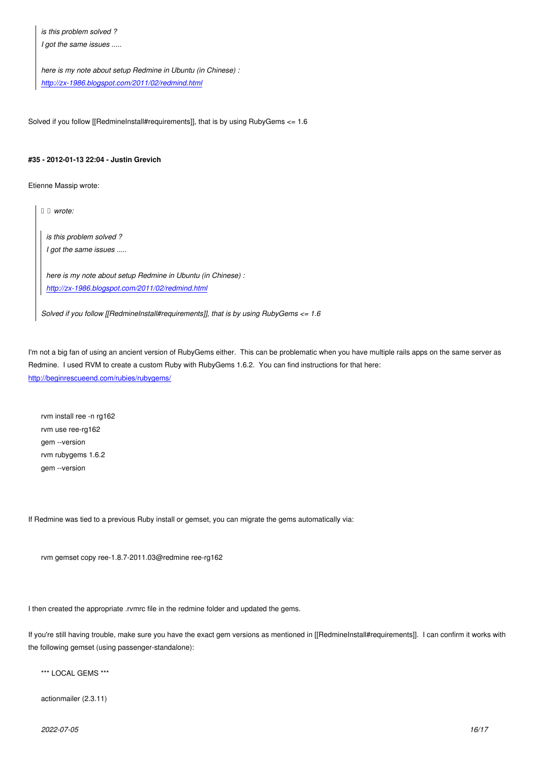*I got the same issues .....*

*here is my note about setup Redmine in Ubuntu (in Chinese) : http://zx-1986.blogspot.com/2011/02/redmind.html*

Sol[ved if you follow \[\[RedmineInstall#requirements\]\], th](http://zx-1986.blogspot.com/2011/02/redmind.html)at is by using RubyGems  $\leq 1.6$ 

# **#35 - 2012-01-13 22:04 - Justin Grevich**

Etienne Massip wrote:

*旭 張 wrote:*

*is this problem solved ? I got the same issues .....*

*here is my note about setup Redmine in Ubuntu (in Chinese) : http://zx-1986.blogspot.com/2011/02/redmind.html*

*Solved if you follow [[RedmineInstall#requirements]], that is by using RubyGems <= 1.6*

I'm not a big fan of using an ancient version of RubyGems either. This can be problematic when you have multiple rails apps on the same server as Redmine. I used RVM to create a custom Ruby with RubyGems 1.6.2. You can find instructions for that here: http://beginrescueend.com/rubies/rubygems/

[rvm install ree -n rg162](http://beginrescueend.com/rubies/rubygems/) rvm use ree-rg162 gem --version rvm rubygems 1.6.2 gem --version

If Redmine was tied to a previous Ruby install or gemset, you can migrate the gems automatically via:

rvm gemset copy ree-1.8.7-2011.03@redmine ree-rg162

I then created the appropriate .rvmrc file in the redmine folder and updated the gems.

If you're still having trouble, make sure you have the exact gem versions as mentioned in [[RedmineInstall#requirements]]. I can confirm it works with the following gemset (using passenger-standalone):

\*\*\* LOCAL GEMS \*\*\*

actionmailer (2.3.11)